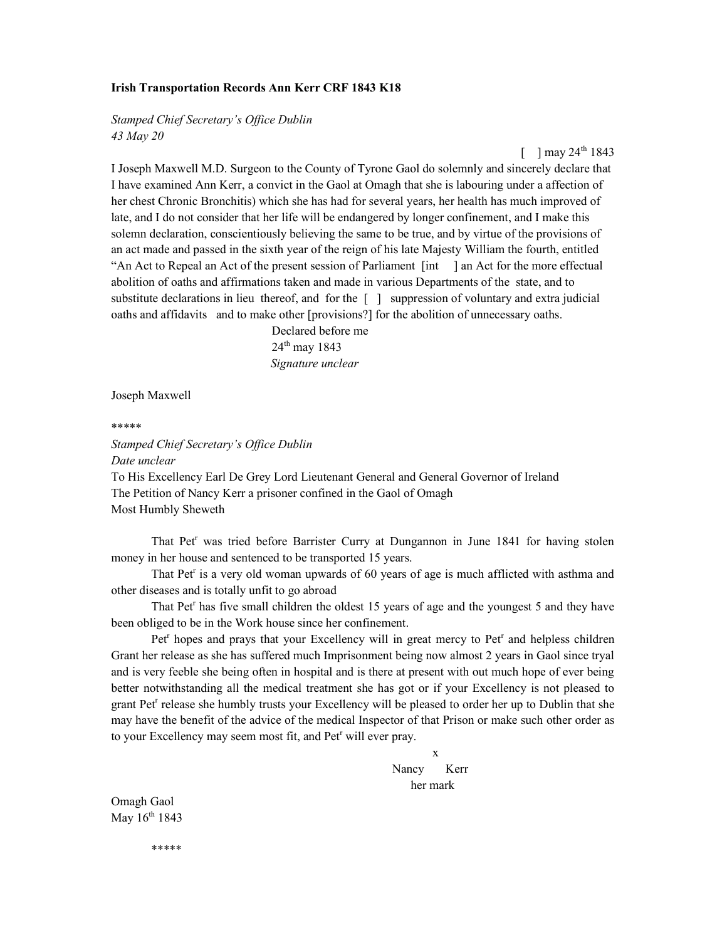## Irish Transportation Records Ann Kerr CRF 1843 K18

Stamped Chief Secretary's Office Dublin 43 May 20

 $\lceil$  1 may 24<sup>th</sup> 1843

I Joseph Maxwell M.D. Surgeon to the County of Tyrone Gaol do solemnly and sincerely declare that I have examined Ann Kerr, a convict in the Gaol at Omagh that she is labouring under a affection of her chest Chronic Bronchitis) which she has had for several years, her health has much improved of late, and I do not consider that her life will be endangered by longer confinement, and I make this solemn declaration, conscientiously believing the same to be true, and by virtue of the provisions of an act made and passed in the sixth year of the reign of his late Majesty William the fourth, entitled "An Act to Repeal an Act of the present session of Parliament [int ] an Act for the more effectual abolition of oaths and affirmations taken and made in various Departments of the state, and to substitute declarations in lieu thereof, and for the [ ] suppression of voluntary and extra judicial oaths and affidavits and to make other [provisions?] for the abolition of unnecessary oaths.

 Declared before me 24<sup>th</sup> may 1843 Signature unclear

Joseph Maxwell

\*\*\*\*\*

Stamped Chief Secretary's Office Dublin Date unclear To His Excellency Earl De Grey Lord Lieutenant General and General Governor of Ireland The Petition of Nancy Kerr a prisoner confined in the Gaol of Omagh Most Humbly Sheweth

That Pet<sup>r</sup> was tried before Barrister Curry at Dungannon in June 1841 for having stolen money in her house and sentenced to be transported 15 years.

That Pet<sup>r</sup> is a very old woman upwards of 60 years of age is much afflicted with asthma and other diseases and is totally unfit to go abroad

That Pet<sup>r</sup> has five small children the oldest 15 years of age and the youngest 5 and they have been obliged to be in the Work house since her confinement.

Pet<sup>r</sup> hopes and prays that your Excellency will in great mercy to Pet<sup>r</sup> and helpless children Grant her release as she has suffered much Imprisonment being now almost 2 years in Gaol since tryal and is very feeble she being often in hospital and is there at present with out much hope of ever being better notwithstanding all the medical treatment she has got or if your Excellency is not pleased to grant Pet<sup>r</sup> release she humbly trusts your Excellency will be pleased to order her up to Dublin that she may have the benefit of the advice of the medical Inspector of that Prison or make such other order as to your Excellency may seem most fit, and Pet<sup>r</sup> will ever pray.

 x Nancy Kerr her mark

Omagh Gaol May 16<sup>th</sup> 1843

\*\*\*\*\*